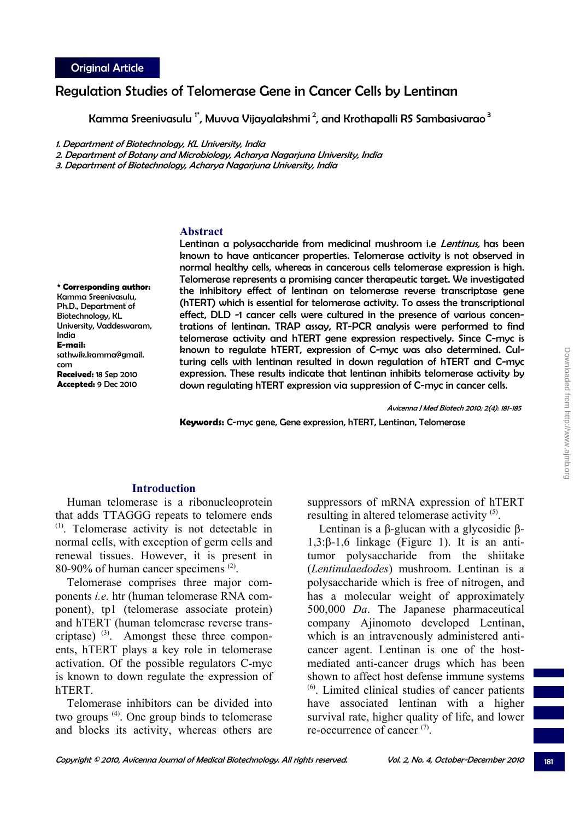# Regulation Studies of Telomerase Gene in Cancer Cells by Lentinan

Kamma Sreenivasulu<sup>1</sup>, Muvva Vijayalakshmi<sup>2</sup>, and Krothapalli RS Sambasivarao<sup>3</sup>

1. Department of Biotechnology, KL University, India

2. Department of Botany and Microbiology, Acharya Nagarjuna University, India

3. Department of Biotechnology, Acharya Nagarjuna University, India

## **Abstract**

**\* Corresponding author:**  Kamma Sreenivasulu, Ph.D., Department of Biotechnology, KL University, Vaddeswaram, India **E-mail:**  sathwik.kamma@gmail. com **Received:** 18 Sep 2010 **Accepted:** 9 Dec 2010

Lentinan a polysaccharide from medicinal mushroom i.e Lentinus, has been known to have anticancer properties. Telomerase activity is not observed in normal healthy cells, whereas in cancerous cells telomerase expression is high. Telomerase represents a promising cancer therapeutic target. We investigated the inhibitory effect of lentinan on telomerase reverse transcriptase gene (hTERT) which is essential for telomerase activity. To assess the transcriptional effect, DLD -1 cancer cells were cultured in the presence of various concentrations of lentinan. TRAP assay, RT-PCR analysis were performed to find telomerase activity and hTERT gene expression respectively. Since C-myc is known to regulate hTERT, expression of C-myc was also determined. Culturing cells with lentinan resulted in down regulation of hTERT and C-myc expression. These results indicate that lentinan inhibits telomerase activity by down regulating hTERT expression via suppression of C-myc in cancer cells.

Avicenna J Med Biotech 2010; 2(4): 181-185

**Keywords:** C-myc gene, Gene expression, hTERT, Lentinan, Telomerase

# **Introduction**

Human telomerase is a ribonucleoprotein that adds TTAGGG repeats to telomere ends (1). Telomerase activity is not detectable in normal cells, with exception of germ cells and renewal tissues. However, it is present in 80-90% of human cancer specimens (2).

Telomerase comprises three major components *i.e.* htr (human telomerase RNA component), tp1 (telomerase associate protein) and hTERT (human telomerase reverse transcriptase)  $(3)$ . Amongst these three components, hTERT plays a key role in telomerase activation. Of the possible regulators C-myc is known to down regulate the expression of hTERT.

Telomerase inhibitors can be divided into two groups (4). One group binds to telomerase and blocks its activity, whereas others are

suppressors of mRNA expression of hTERT resulting in altered telomerase activity <sup>(5)</sup>.

Lentinan is a β-glucan with a glycosidic β-1,3:β-1,6 linkage (Figure 1). It is an antitumor polysaccharide from the shiitake (*Lentinulaedodes*) mushroom. Lentinan is a polysaccharide which is free of nitrogen, and has a molecular weight of approximately 500,000 *Da*. The Japanese pharmaceutical company Ajinomoto developed Lentinan, which is an intravenously administered anticancer agent. Lentinan is one of the hostmediated anti-cancer drugs which has been shown to affect host defense immune systems (6). Limited clinical studies of cancer patients have associated lentinan with a higher survival rate, higher quality of life, and lower re-occurrence of cancer  $(7)$ .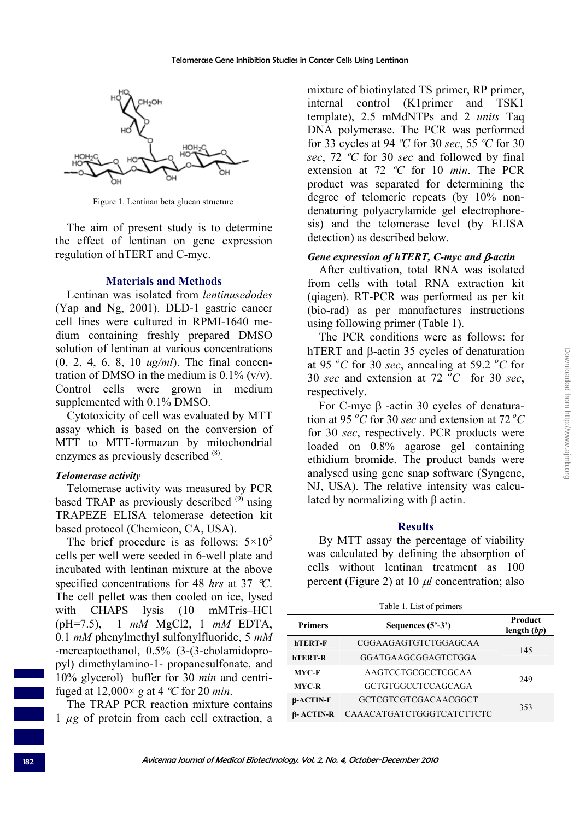

Figure 1. Lentinan beta glucan structure

The aim of present study is to determine the effect of lentinan on gene expression regulation of hTERT and C-myc.

### **Materials and Methods**

Lentinan was isolated from *lentinusedodes* (Yap and Ng, 2001). DLD-1 gastric cancer cell lines were cultured in RPMI-1640 medium containing freshly prepared DMSO solution of lentinan at various concentrations (0, 2, 4, 6, 8, 10 *ug/ml*). The final concentration of DMSO in the medium is  $0.1\%$  (v/v). Control cells were grown in medium supplemented with 0.1% DMSO.

Cytotoxicity of cell was evaluated by MTT assay which is based on the conversion of MTT to MTT-formazan by mitochondrial enzymes as previously described  $^{(8)}$ .

## *Telomerase activity*

Telomerase activity was measured by PCR based TRAP as previously described  $(9)$  using TRAPEZE ELISA telomerase detection kit based protocol (Chemicon, CA, USA).

The brief procedure is as follows:  $5 \times 10^5$ cells per well were seeded in 6-well plate and incubated with lentinan mixture at the above specified concentrations for 48 *hrs* at 37 °*C*. The cell pellet was then cooled on ice, lysed with CHAPS lysis (10 mMTris–HCl (pH=7.5), 1 *mM* MgCl2, 1 *mM* EDTA, 0.1 *mM* phenylmethyl sulfonylfluoride, 5 *mM* -mercaptoethanol, 0.5% (3-(3-cholamidopropyl) dimethylamino-1- propanesulfonate, and 10% glycerol) buffer for 30 *min* and centrifuged at 12,000× *g* at 4 *ºC* for 20 *min*.

The TRAP PCR reaction mixture contains 1 *µg* of protein from each cell extraction, a mixture of biotinylated TS primer, RP primer, internal control (K1primer and TSK1 template), 2.5 mMdNTPs and 2 *units* Taq DNA polymerase. The PCR was performed for 33 cycles at 94 *ºC* for 30 *sec*, 55 *ºC* for 30 *sec*, 72 *ºC* for 30 *sec* and followed by final extension at 72 *ºC* for 10 *min*. The PCR product was separated for determining the degree of telomeric repeats (by 10% nondenaturing polyacrylamide gel electrophoresis) and the telomerase level (by ELISA detection) as described below.

#### *Gene expression of hTERT, C-myc and* β*-actin*

After cultivation, total RNA was isolated from cells with total RNA extraction kit (qiagen). RT-PCR was performed as per kit (bio-rad) as per manufactures instructions using following primer (Table 1).

The PCR conditions were as follows: for hTERT and β-actin 35 cycles of denaturation at 95  $^{\circ}$ C for 30 *sec*, annealing at 59.2  $^{\circ}$ C for 30 *sec* and extension at 72  $^{\circ}$ C for 30 *sec*, respectively.

For C-myc β -actin 30 cycles of denaturation at 95 *<sup>o</sup> C* for 30 *sec* and extension at 72 *oC* for 30 *sec*, respectively. PCR products were loaded on 0.8% agarose gel containing ethidium bromide. The product bands were analysed using gene snap software (Syngene, NJ, USA). The relative intensity was calculated by normalizing with β actin.

#### **Results**

By MTT assay the percentage of viability was calculated by defining the absorption of cells without lentinan treatment as 100 percent (Figure 2) at 10 μ*l* concentration; also

| Table 1. List of primers |                           |                                 |  |  |  |  |
|--------------------------|---------------------------|---------------------------------|--|--|--|--|
| <b>Primers</b>           | Sequences $(5^2-3^2)$     | <b>Product</b><br>length $(bp)$ |  |  |  |  |
| <b>hTERT-F</b>           | CGGAAGAGTGTCTGGAGCAA      | 145                             |  |  |  |  |
| <b>hTERT-R</b>           | GGATGAAGCGGAGTCTGGA       |                                 |  |  |  |  |
| MYC-F                    | AAGTCCTGCGCCTCGCAA        | 249                             |  |  |  |  |
| <b>MYC-R</b>             | <b>GCTGTGGCCTCCAGCAGA</b> |                                 |  |  |  |  |
| $\beta$ -ACTIN-F         | GCTCGTCGTCGACAACGGCT      | 353                             |  |  |  |  |
| <b>B-ACTIN-R</b>         | CAAACATGATCTGGGTCATCTTCTC |                                 |  |  |  |  |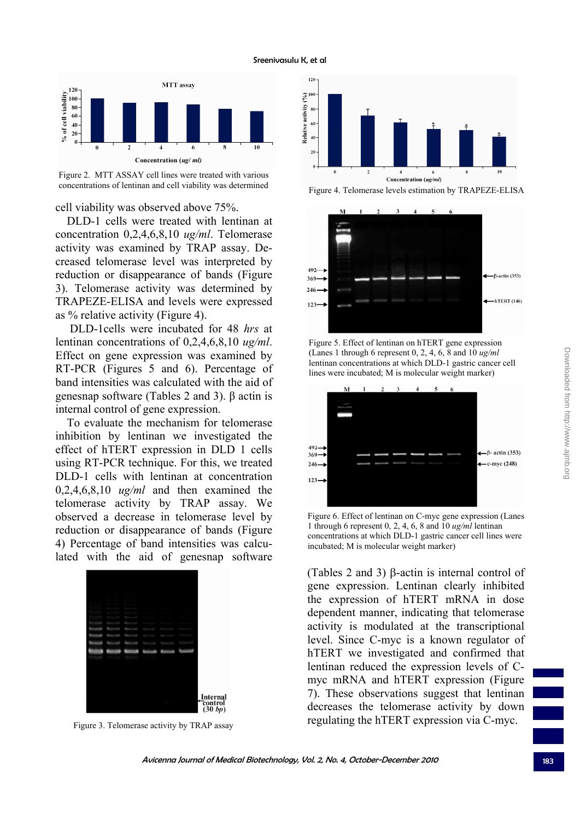



cell viability was observed above 75%.

DLD-1 cells were treated with lentinan at concentration 0,2,4,6,8,10 *ug/ml*. Telomerase activity was examined by TRAP assay. Decreased telomerase level was interpreted by reduction or disappearance of bands (Figure 3). Telomerase activity was determined by TRAPEZE-ELISA and levels were expressed as % relative activity (Figure 4).

 DLD-1cells were incubated for 48 *hrs* at lentinan concentrations of 0,2,4,6,8,10 *ug/ml*. Effect on gene expression was examined by RT-PCR (Figures 5 and 6). Percentage of band intensities was calculated with the aid of genesnap software (Tables 2 and 3). β actin is internal control of gene expression.

To evaluate the mechanism for telomerase inhibition by lentinan we investigated the effect of hTERT expression in DLD 1 cells using RT-PCR technique. For this, we treated DLD-1 cells with lentinan at concentration 0,2,4,6,8,10 *ug/ml* and then examined the telomerase activity by TRAP assay. We observed a decrease in telomerase level by reduction or disappearance of bands (Figure 4) Percentage of band intensities was calculated with the aid of genesnap software



Figure 3. Telomerase activity by TRAP assay



Figure 4. Telomerase levels estimation by TRAPEZE-ELISA



Figure 5. Effect of lentinan on hTERT gene expression (Lanes 1 through 6 represent 0, 2, 4, 6, 8 and 10 *ug/ml* lentinan concentrations at which DLD-1 gastric cancer cell lines were incubated; M is molecular weight marker)



Figure 6. Effect of lentinan on C-myc gene expression (Lanes 1 through 6 represent 0, 2, 4, 6, 8 and 10 *ug/ml* lentinan concentrations at which DLD-1 gastric cancer cell lines were incubated; M is molecular weight marker)

(Tables 2 and 3) β-actin is internal control of gene expression. Lentinan clearly inhibited the expression of hTERT mRNA in dose dependent manner, indicating that telomerase activity is modulated at the transcriptional level. Since C-myc is a known regulator of hTERT we investigated and confirmed that lentinan reduced the expression levels of Cmyc mRNA and hTERT expression (Figure 7). These observations suggest that lentinan decreases the telomerase activity by down regulating the hTERT expression via C-myc.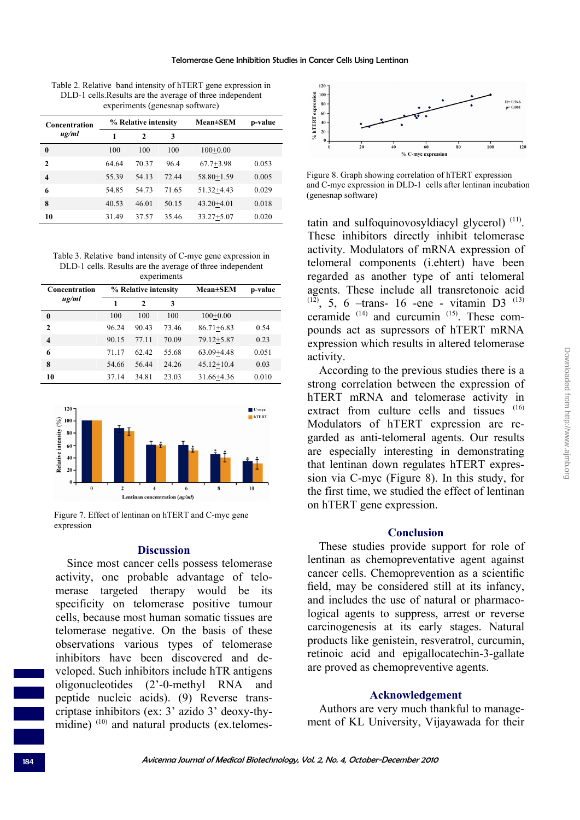Table 2. Relative band intensity of hTERT gene expression in DLD-1 cells.Results are the average of three independent experiments (genesnap software)

| Concentration<br>ug/ml  | % Relative intensity |              |       | <b>Mean</b> ±SEM | p-value |
|-------------------------|----------------------|--------------|-------|------------------|---------|
|                         |                      | $\mathbf{2}$ | 3     |                  |         |
| 0                       | 100                  | 100          | 100   | $100+0.00$       |         |
| $\mathbf{2}$            | 64.64                | 70.37        | 964   | $67.7 + 3.98$    | 0.053   |
| $\overline{\mathbf{4}}$ | 55.39                | 54 13        | 72.44 | $58.80 + 1.59$   | 0.005   |
| 6                       | 54.85                | 54 73        | 71.65 | $51.32 + 4.43$   | 0.029   |
| 8                       | 40.53                | 46.01        | 50.15 | $43.20 + 4.01$   | 0.018   |
| 10                      | 31.49                | 37.57        | 35.46 | $33.27 + 5.07$   | 0.020   |

Table 3. Relative band intensity of C-myc gene expression in DLD-1 cells. Results are the average of three independent experiments

| Concentration           | % Relative intensity |              |       | <b>Mean±SEM</b> | p-value |  |  |  |
|-------------------------|----------------------|--------------|-------|-----------------|---------|--|--|--|
| $\mu$ g/ml              |                      | $\mathbf{2}$ | 3     |                 |         |  |  |  |
| 0                       | 100                  | 100          | 100   | $100+0.00$      |         |  |  |  |
| $\mathbf{2}$            | 96.24                | 90.43        | 73.46 | $86.71 + 6.83$  | 0.54    |  |  |  |
| $\overline{\mathbf{4}}$ | 90.15                | 77.11        | 70.09 | $79.12 + 5.87$  | 0.23    |  |  |  |
| 6                       | 71.17                | 62.42        | 55.68 | $63.09 + 4.48$  | 0.051   |  |  |  |
| 8                       | 54.66                | 56.44        | 24.26 | $45.12 + 10.4$  | 0.03    |  |  |  |
| 10                      | 37.14                | 34.81        | 23.03 | 31.66+4.36      | 0.010   |  |  |  |



Figure 7. Effect of lentinan on hTERT and C-myc gene expression

# **Discussion**

Since most cancer cells possess telomerase activity, one probable advantage of telomerase targeted therapy would be its specificity on telomerase positive tumour cells, because most human somatic tissues are telomerase negative. On the basis of these observations various types of telomerase inhibitors have been discovered and developed. Such inhibitors include hTR antigens oligonucleotides (2'-0-methyl RNA and peptide nucleic acids). (9) Reverse transcriptase inhibitors (ex: 3' azido 3' deoxy-thymidine)<sup>(10)</sup> and natural products (ex.telomes-



Figure 8. Graph showing correlation of hTERT expression and C-myc expression in DLD-1 cells after lentinan incubation (genesnap software)

tatin and sulfoquinovosyldiacyl glycerol)  $(11)$ . These inhibitors directly inhibit telomerase activity. Modulators of mRNA expression of telomeral components (i.ehtert) have been regarded as another type of anti telomeral agents. These include all transretonoic acid  $(12)$ , 5, 6 –trans- 16 -ene - vitamin D3<sup> $(13)$ </sup> ceramide (14) and curcumin (15). These compounds act as supressors of hTERT mRNA expression which results in altered telomerase activity.

According to the previous studies there is a strong correlation between the expression of hTERT mRNA and telomerase activity in extract from culture cells and tissues (16) Modulators of hTERT expression are regarded as anti-telomeral agents. Our results are especially interesting in demonstrating that lentinan down regulates hTERT expression via C-myc (Figure 8). In this study, for the first time, we studied the effect of lentinan on hTERT gene expression.

#### **Conclusion**

These studies provide support for role of lentinan as chemopreventative agent against cancer cells. Chemoprevention as a scientific field, may be considered still at its infancy, and includes the use of natural or pharmacological agents to suppress, arrest or reverse carcinogenesis at its early stages. Natural products like genistein, resveratrol, curcumin, retinoic acid and epigallocatechin-3-gallate are proved as chemopreventive agents.

## **Acknowledgement**

Authors are very much thankful to management of KL University, Vijayawada for their